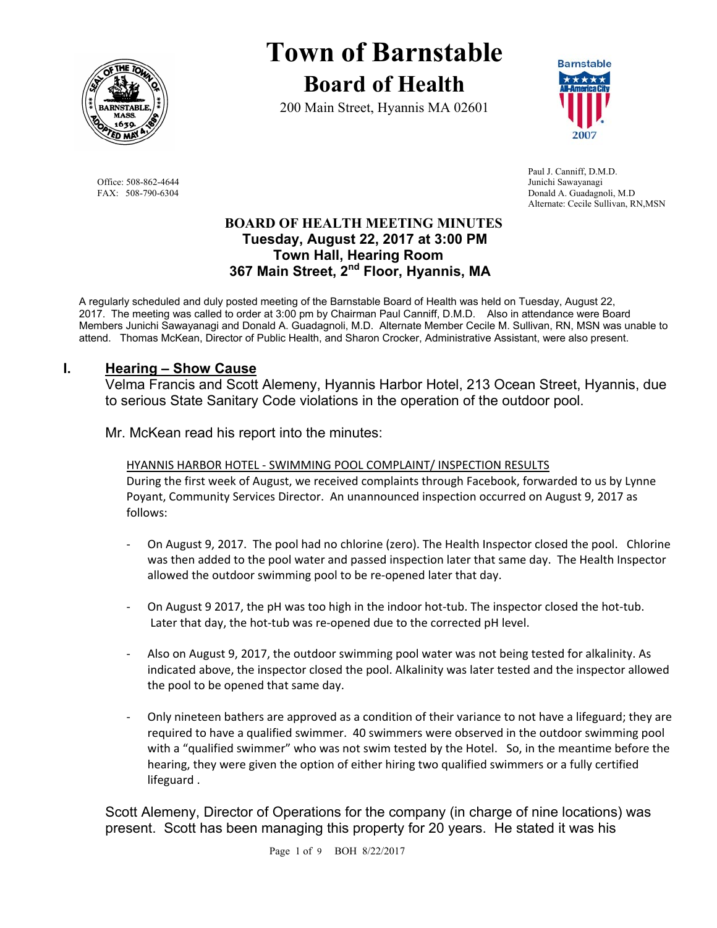

**Town of Barnstable Board of Health**

200 Main Street, Hyannis MA 02601



 Paul J. Canniff, D.M.D. Office: 508-862-4644 Junichi Sawayanagi<br>
FAX: 508-790-6304 Donald A. Guadagne Donald A. Guadagnoli, M.D Alternate: Cecile Sullivan, RN,MSN

### **BOARD OF HEALTH MEETING MINUTES Tuesday, August 22, 2017 at 3:00 PM Town Hall, Hearing Room 367 Main Street, 2nd Floor, Hyannis, MA**

A regularly scheduled and duly posted meeting of the Barnstable Board of Health was held on Tuesday, August 22, 2017. The meeting was called to order at 3:00 pm by Chairman Paul Canniff, D.M.D. Also in attendance were Board Members Junichi Sawayanagi and Donald A. Guadagnoli, M.D. Alternate Member Cecile M. Sullivan, RN, MSN was unable to attend. Thomas McKean, Director of Public Health, and Sharon Crocker, Administrative Assistant, were also present.

## **I. Hearing – Show Cause**

Velma Francis and Scott Alemeny, Hyannis Harbor Hotel, 213 Ocean Street, Hyannis, due to serious State Sanitary Code violations in the operation of the outdoor pool.

Mr. McKean read his report into the minutes:

HYANNIS HARBOR HOTEL ‐ SWIMMING POOL COMPLAINT/ INSPECTION RESULTS During the first week of August, we received complaints through Facebook, forwarded to us by Lynne Poyant, Community Services Director. An unannounced inspection occurred on August 9, 2017 as follows:

- ‐ On August 9, 2017. The pool had no chlorine (zero). The Health Inspector closed the pool. Chlorine was then added to the pool water and passed inspection later that same day. The Health Inspector allowed the outdoor swimming pool to be re‐opened later that day.
- On August 9 2017, the pH was too high in the indoor hot-tub. The inspector closed the hot-tub. Later that day, the hot-tub was re-opened due to the corrected pH level.
- ‐ Also on August 9, 2017, the outdoor swimming pool water was not being tested for alkalinity. As indicated above, the inspector closed the pool. Alkalinity was later tested and the inspector allowed the pool to be opened that same day.
- ‐ Only nineteen bathers are approved as a condition of their variance to not have a lifeguard; they are required to have a qualified swimmer. 40 swimmers were observed in the outdoor swimming pool with a "qualified swimmer" who was not swim tested by the Hotel. So, in the meantime before the hearing, they were given the option of either hiring two qualified swimmers or a fully certified lifeguard .

Scott Alemeny, Director of Operations for the company (in charge of nine locations) was present. Scott has been managing this property for 20 years. He stated it was his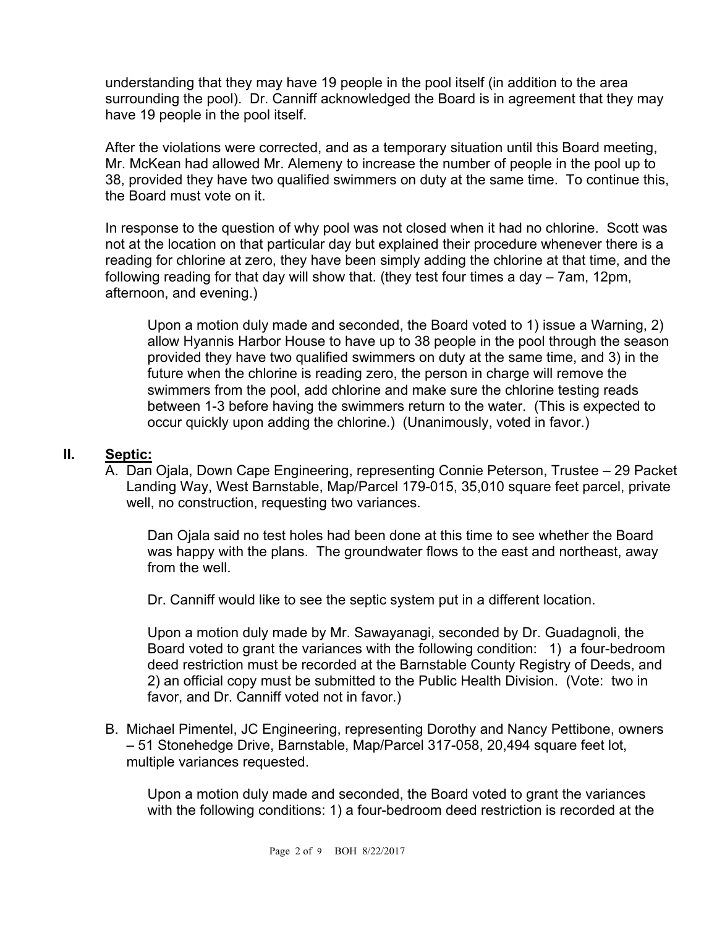understanding that they may have 19 people in the pool itself (in addition to the area surrounding the pool). Dr. Canniff acknowledged the Board is in agreement that they may have 19 people in the pool itself.

After the violations were corrected, and as a temporary situation until this Board meeting, Mr. McKean had allowed Mr. Alemeny to increase the number of people in the pool up to 38, provided they have two qualified swimmers on duty at the same time. To continue this, the Board must vote on it.

In response to the question of why pool was not closed when it had no chlorine. Scott was not at the location on that particular day but explained their procedure whenever there is a reading for chlorine at zero, they have been simply adding the chlorine at that time, and the following reading for that day will show that. (they test four times a day – 7am, 12pm, afternoon, and evening.)

Upon a motion duly made and seconded, the Board voted to 1) issue a Warning, 2) allow Hyannis Harbor House to have up to 38 people in the pool through the season provided they have two qualified swimmers on duty at the same time, and 3) in the future when the chlorine is reading zero, the person in charge will remove the swimmers from the pool, add chlorine and make sure the chlorine testing reads between 1-3 before having the swimmers return to the water. (This is expected to occur quickly upon adding the chlorine.) (Unanimously, voted in favor.)

# **II. Septic:**

A. Dan Ojala, Down Cape Engineering, representing Connie Peterson, Trustee – 29 Packet Landing Way, West Barnstable, Map/Parcel 179-015, 35,010 square feet parcel, private well, no construction, requesting two variances.

Dan Ojala said no test holes had been done at this time to see whether the Board was happy with the plans. The groundwater flows to the east and northeast, away from the well.

Dr. Canniff would like to see the septic system put in a different location.

Upon a motion duly made by Mr. Sawayanagi, seconded by Dr. Guadagnoli, the Board voted to grant the variances with the following condition: 1) a four-bedroom deed restriction must be recorded at the Barnstable County Registry of Deeds, and 2) an official copy must be submitted to the Public Health Division. (Vote: two in favor, and Dr. Canniff voted not in favor.)

B. Michael Pimentel, JC Engineering, representing Dorothy and Nancy Pettibone, owners – 51 Stonehedge Drive, Barnstable, Map/Parcel 317-058, 20,494 square feet lot, multiple variances requested.

Upon a motion duly made and seconded, the Board voted to grant the variances with the following conditions: 1) a four-bedroom deed restriction is recorded at the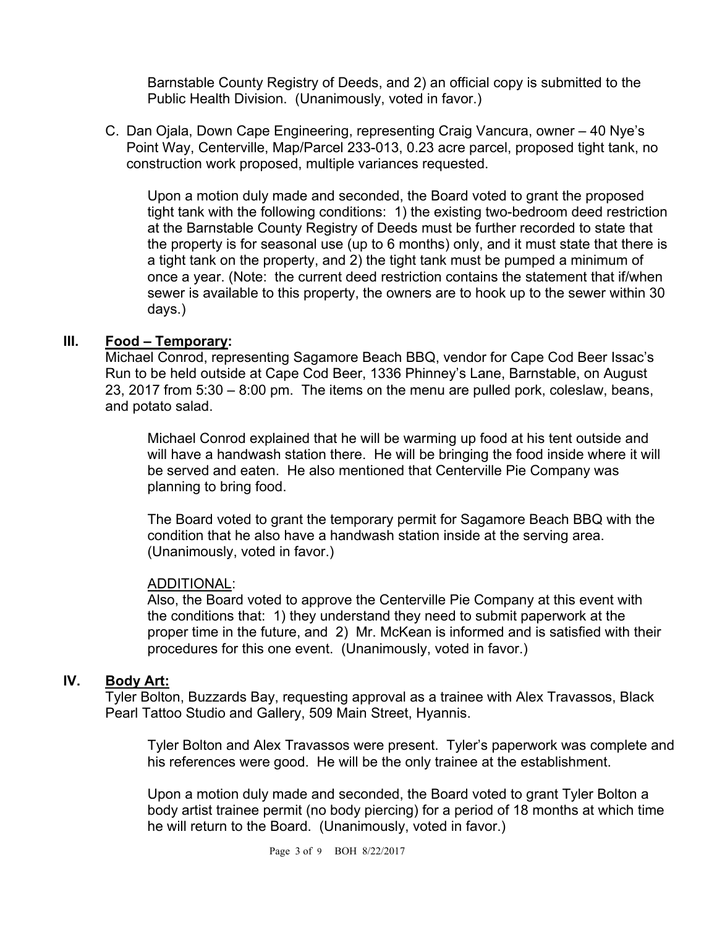Barnstable County Registry of Deeds, and 2) an official copy is submitted to the Public Health Division. (Unanimously, voted in favor.)

C. Dan Ojala, Down Cape Engineering, representing Craig Vancura, owner – 40 Nye's Point Way, Centerville, Map/Parcel 233-013, 0.23 acre parcel, proposed tight tank, no construction work proposed, multiple variances requested.

Upon a motion duly made and seconded, the Board voted to grant the proposed tight tank with the following conditions: 1) the existing two-bedroom deed restriction at the Barnstable County Registry of Deeds must be further recorded to state that the property is for seasonal use (up to 6 months) only, and it must state that there is a tight tank on the property, and 2) the tight tank must be pumped a minimum of once a year. (Note: the current deed restriction contains the statement that if/when sewer is available to this property, the owners are to hook up to the sewer within 30 days.)

# **III. Food – Temporary:**

Michael Conrod, representing Sagamore Beach BBQ, vendor for Cape Cod Beer Issac's Run to be held outside at Cape Cod Beer, 1336 Phinney's Lane, Barnstable, on August 23, 2017 from 5:30 – 8:00 pm. The items on the menu are pulled pork, coleslaw, beans, and potato salad.

Michael Conrod explained that he will be warming up food at his tent outside and will have a handwash station there. He will be bringing the food inside where it will be served and eaten. He also mentioned that Centerville Pie Company was planning to bring food.

The Board voted to grant the temporary permit for Sagamore Beach BBQ with the condition that he also have a handwash station inside at the serving area. (Unanimously, voted in favor.)

## ADDITIONAL:

Also, the Board voted to approve the Centerville Pie Company at this event with the conditions that: 1) they understand they need to submit paperwork at the proper time in the future, and 2) Mr. McKean is informed and is satisfied with their procedures for this one event. (Unanimously, voted in favor.)

## **IV. Body Art:**

Tyler Bolton, Buzzards Bay, requesting approval as a trainee with Alex Travassos, Black Pearl Tattoo Studio and Gallery, 509 Main Street, Hyannis.

Tyler Bolton and Alex Travassos were present. Tyler's paperwork was complete and his references were good. He will be the only trainee at the establishment.

Upon a motion duly made and seconded, the Board voted to grant Tyler Bolton a body artist trainee permit (no body piercing) for a period of 18 months at which time he will return to the Board. (Unanimously, voted in favor.)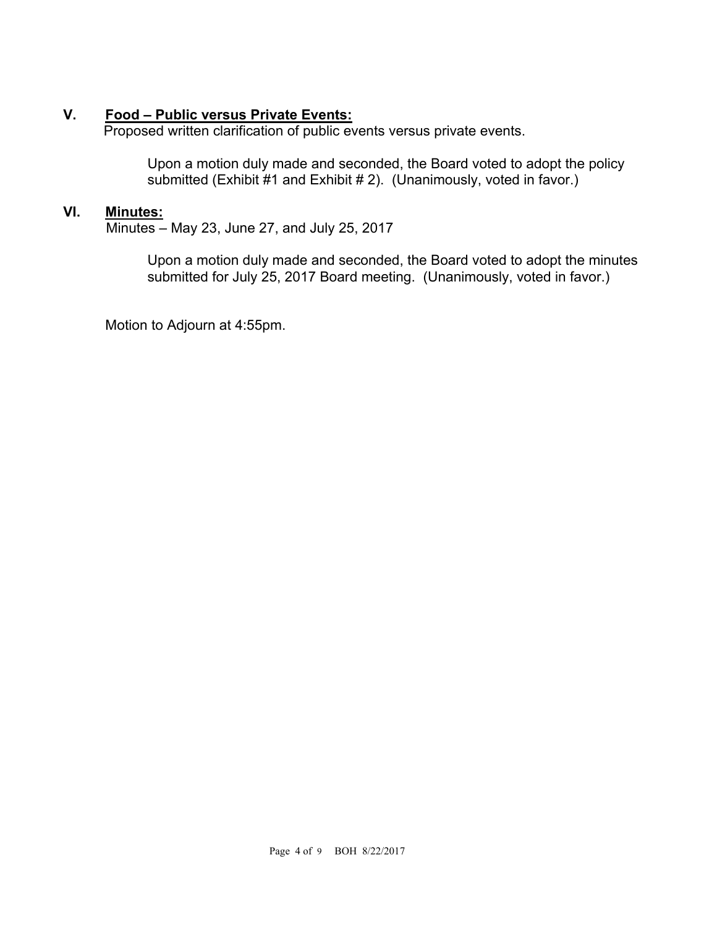# **V. Food – Public versus Private Events:**

Proposed written clarification of public events versus private events.

Upon a motion duly made and seconded, the Board voted to adopt the policy submitted (Exhibit #1 and Exhibit # 2). (Unanimously, voted in favor.)

### **VI. Minutes:**

Minutes – May 23, June 27, and July 25, 2017

Upon a motion duly made and seconded, the Board voted to adopt the minutes submitted for July 25, 2017 Board meeting. (Unanimously, voted in favor.)

Motion to Adjourn at 4:55pm.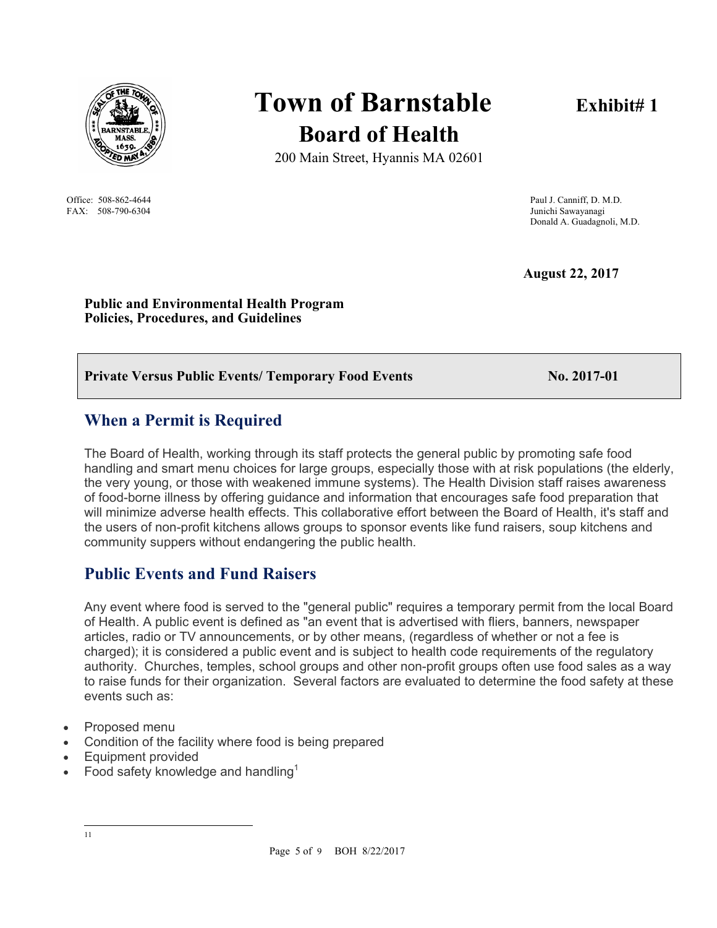

FAX: 508-790-6304

# **Town of Barnstable** Exhibit# 1 **Board of Health**

200 Main Street, Hyannis MA 02601

Office: 508-862-4644 Paul J. Canniff, D. M.D.<br>
FAX: 508-790-6304 Paul J. Canniff, D. M.D. Donald A. Guadagnoli, M.D.

 **August 22, 2017** 

**Public and Environmental Health Program Policies, Procedures, and Guidelines** 

# **Private Versus Public Events/ Temporary Food Events No. 2017-01**

# **When a Permit is Required**

The Board of Health, working through its staff protects the general public by promoting safe food handling and smart menu choices for large groups, especially those with at risk populations (the elderly, the very young, or those with weakened immune systems). The Health Division staff raises awareness of food-borne illness by offering guidance and information that encourages safe food preparation that will minimize adverse health effects. This collaborative effort between the Board of Health, it's staff and the users of non-profit kitchens allows groups to sponsor events like fund raisers, soup kitchens and community suppers without endangering the public health.

# **Public Events and Fund Raisers**

Any event where food is served to the "general public" requires a temporary permit from the local Board of Health. A public event is defined as "an event that is advertised with fliers, banners, newspaper articles, radio or TV announcements, or by other means, (regardless of whether or not a fee is charged); it is considered a public event and is subject to health code requirements of the regulatory authority. Churches, temples, school groups and other non-profit groups often use food sales as a way to raise funds for their organization. Several factors are evaluated to determine the food safety at these events such as:

- Proposed menu
- Condition of the facility where food is being prepared
- Equipment provided
- Food safety knowledge and handling<sup>1</sup>

|<br>|<br>| 1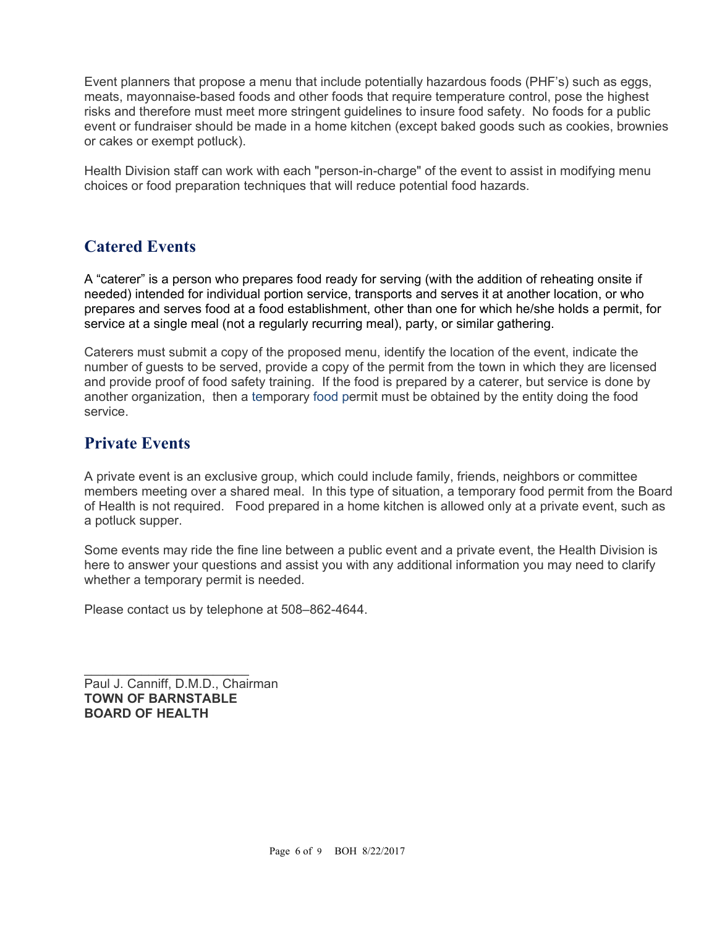Event planners that propose a menu that include potentially hazardous foods (PHF's) such as eggs, meats, mayonnaise-based foods and other foods that require temperature control, pose the highest risks and therefore must meet more stringent guidelines to insure food safety. No foods for a public event or fundraiser should be made in a home kitchen (except baked goods such as cookies, brownies or cakes or exempt potluck).

Health Division staff can work with each "person-in-charge" of the event to assist in modifying menu choices or food preparation techniques that will reduce potential food hazards.

# **Catered Events**

A "caterer" is a person who prepares food ready for serving (with the addition of reheating onsite if needed) intended for individual portion service, transports and serves it at another location, or who prepares and serves food at a food establishment, other than one for which he/she holds a permit, for service at a single meal (not a regularly recurring meal), party, or similar gathering.

Caterers must submit a copy of the proposed menu, identify the location of the event, indicate the number of guests to be served, provide a copy of the permit from the town in which they are licensed and provide proof of food safety training. If the food is prepared by a caterer, but service is done by another organization, then a temporary food permit must be obtained by the entity doing the food service.

# **Private Events**

A private event is an exclusive group, which could include family, friends, neighbors or committee members meeting over a shared meal. In this type of situation, a temporary food permit from the Board of Health is not required. Food prepared in a home kitchen is allowed only at a private event, such as a potluck supper.

Some events may ride the fine line between a public event and a private event, the Health Division is here to answer your questions and assist you with any additional information you may need to clarify whether a temporary permit is needed.

Please contact us by telephone at 508–862-4644.

Paul J. Canniff, D.M.D., Chairman **TOWN OF BARNSTABLE BOARD OF HEALTH**

 $\mathcal{L}_\text{max}$  , where  $\mathcal{L}_\text{max}$  and  $\mathcal{L}_\text{max}$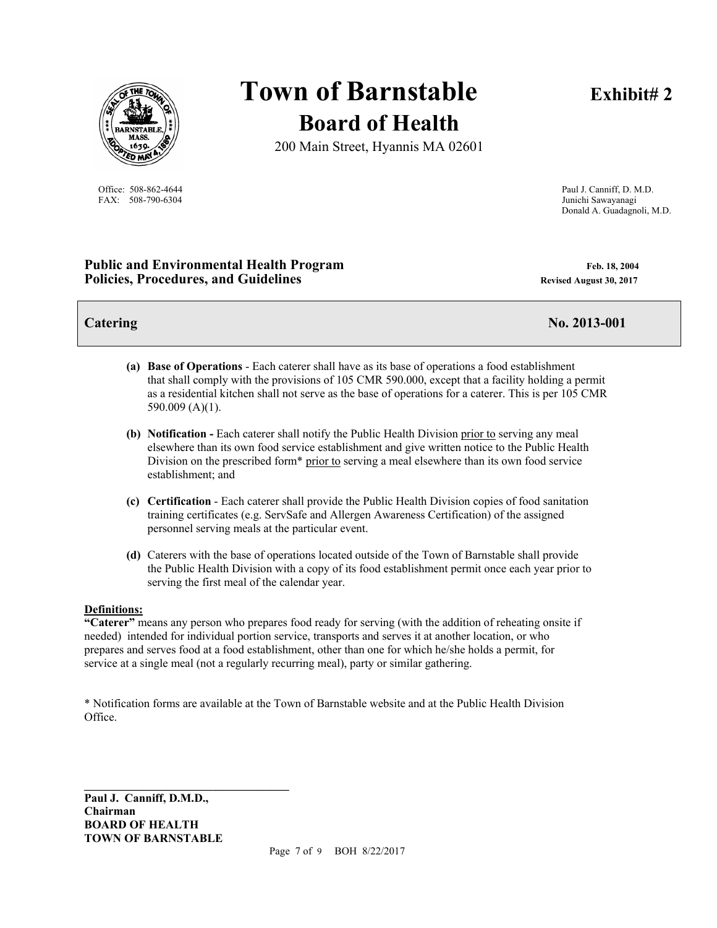

FAX: 508-790-6304 Junichi Sawayanagi

# **Town of Barnstable** Exhibit# 2 **Board of Health**

200 Main Street, Hyannis MA 02601

Office: 508-862-4644 Paul J. Canniff, D. M.D. Donald A. Guadagnoli, M.D.

#### **Public and Environmental Health Program Feb. 18, 2004** Feb. 18, 2004 **Policies, Procedures, and Guidelines Revised August 30, 2017 Revised August 30, 2017**

**Catering No. 2013-001** 

- **(a) Base of Operations**  Each caterer shall have as its base of operations a food establishment that shall comply with the provisions of 105 CMR 590.000, except that a facility holding a permit as a residential kitchen shall not serve as the base of operations for a caterer. This is per 105 CMR 590.009 (A)(1).
- **(b) Notification -** Each caterer shall notify the Public Health Division prior to serving any meal elsewhere than its own food service establishment and give written notice to the Public Health Division on the prescribed form\* prior to serving a meal elsewhere than its own food service establishment; and
- **(c) Certification**  Each caterer shall provide the Public Health Division copies of food sanitation training certificates (e.g. ServSafe and Allergen Awareness Certification) of the assigned personnel serving meals at the particular event.
- **(d)** Caterers with the base of operations located outside of the Town of Barnstable shall provide the Public Health Division with a copy of its food establishment permit once each year prior to serving the first meal of the calendar year.

#### **Definitions:**

**"Caterer"** means any person who prepares food ready for serving (with the addition of reheating onsite if needed) intended for individual portion service, transports and serves it at another location, or who prepares and serves food at a food establishment, other than one for which he/she holds a permit, for service at a single meal (not a regularly recurring meal), party or similar gathering.

\* Notification forms are available at the Town of Barnstable website and at the Public Health Division Office.

**Paul J. Canniff, D.M.D., Chairman BOARD OF HEALTH TOWN OF BARNSTABLE** 

**\_\_\_\_\_\_\_\_\_\_\_\_\_\_\_\_\_\_\_\_\_\_\_\_\_\_\_\_\_\_\_\_\_\_\_**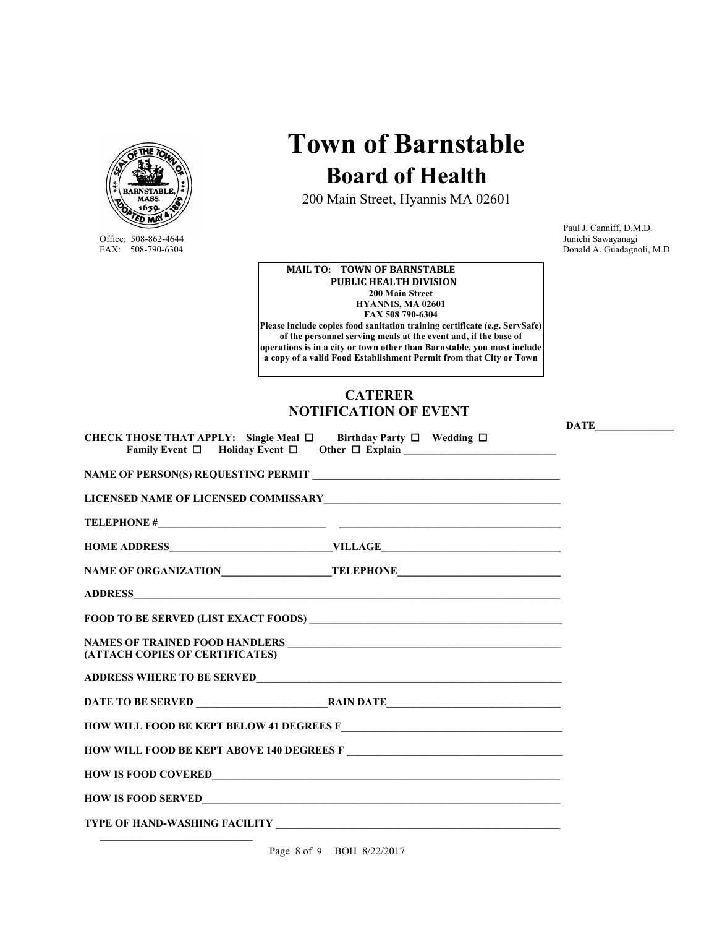

Office: 508-862-4644<br>FAX: 508-790-6304

**Town of Barnstable Board of Health**

200 Main Street, Hyannis MA 02601

 Paul J. Canniff, D.M.D. Donald A. Guadagnoli, M.D.

**MAIL TO: TOWN OF BARNSTABLE PUBLIC HEALTH DIVISION 200 Main Street HYANNIS, MA 02601 FAX 508 790-6304 Please include copies food sanitation training certificate (e.g. ServSafe) of the personnel serving meals at the event and, if the base of operations is in a city or town other than Barnstable, you must include a copy of a valid Food Establishment Permit from that City or Town** 

#### **CATERER NOTIFICATION OF EVENT**

| CHECK THOSE THAT APPLY: Single Meal $\Box$ Birthday Party $\Box$ Wedding $\Box$<br>Family Event $\Box$ Holiday Event $\Box$ |  |  |
|-----------------------------------------------------------------------------------------------------------------------------|--|--|
| NAME OF PERSON(S) REQUESTING PERMIT                                                                                         |  |  |
|                                                                                                                             |  |  |
|                                                                                                                             |  |  |
|                                                                                                                             |  |  |
|                                                                                                                             |  |  |
|                                                                                                                             |  |  |
|                                                                                                                             |  |  |
| (ATTACH COPIES OF CERTIFICATES)                                                                                             |  |  |
|                                                                                                                             |  |  |
|                                                                                                                             |  |  |
|                                                                                                                             |  |  |
| HOW WILL FOOD BE KEPT ABOVE 140 DEGREES F                                                                                   |  |  |
|                                                                                                                             |  |  |
|                                                                                                                             |  |  |
|                                                                                                                             |  |  |
|                                                                                                                             |  |  |